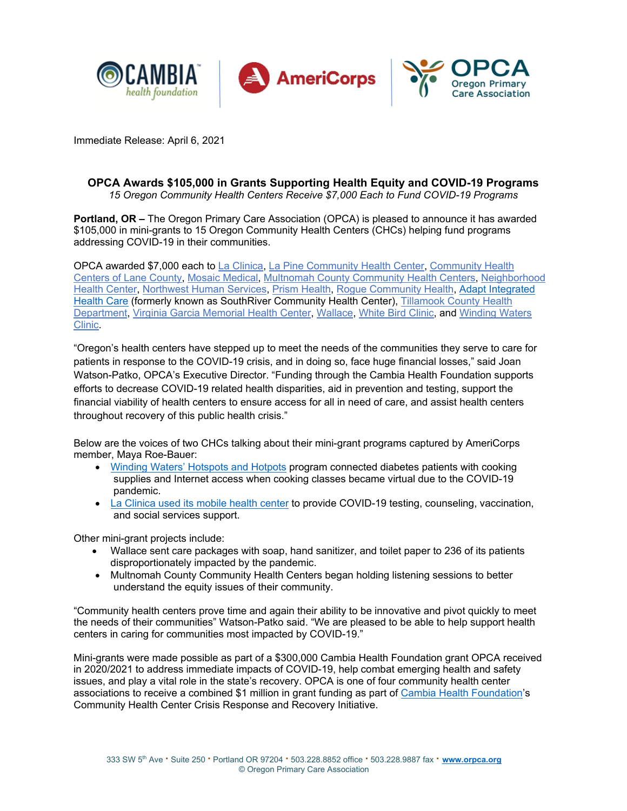

Immediate Release: April 6, 2021

# **OPCA Awards \$105,000 in Grants Supporting Health Equity and COVID-19 Programs**

*15 Oregon Community Health Centers Receive \$7,000 Each to Fund COVID-19 Programs*

**Portland, OR –** The Oregon Primary Care Association (OPCA) is pleased to announce it has awarded \$105,000 in mini-grants to 15 Oregon Community Health Centers (CHCs) helping fund programs addressing COVID-19 in their communities.

OPCA awarded \$7,000 each to [La Clinica,](http://www.laclinicahealth.org/) [La Pine Community Health Center,](http://www.lapinecc.com/) [Community Health](http://www.lanecounty.org/government/county_departments/health_and_human_services/helping_the_whole_family_stay_healthy/)  [Centers of Lane County,](http://www.lanecounty.org/government/county_departments/health_and_human_services/helping_the_whole_family_stay_healthy/) [Mosaic Medical,](http://www.mosaicmedical.org/) [Multnomah County Community Health Centers,](https://multco.us/health/primary-care-clinics) [Neighborhood](https://www.nhcoregon.org/)  [Health Center,](https://www.nhcoregon.org/) [Northwest Human Services,](http://www.northwesthumanservices.org/) [Prism Health,](https://prismhealth.org/) [Rogue Community Health,](http://www.roguecommunityhealth.org/) [Adapt Integrated](https://www.adaptoregon.org/about-us/)  [Health Care](https://www.adaptoregon.org/about-us/) (formerly known as SouthRiver Community Health Center), [Tillamook County Health](http://www.co.tillamook.or.us/gov/Health/)  [Department,](http://www.co.tillamook.or.us/gov/Health/) [Virginia Garcia Memorial Health Center,](http://www.virginiagarcia.org/) [Wallace,](https://mywallace.org/) [White Bird Clinic,](http://whitebirdclinic.org/) and [Winding Waters](http://windingwaters.org/)  [Clinic.](http://windingwaters.org/)

"Oregon's health centers have stepped up to meet the needs of the communities they serve to care for patients in response to the COVID-19 crisis, and in doing so, face huge financial losses," said Joan Watson-Patko, OPCA's Executive Director. "Funding through the Cambia Health Foundation supports efforts to decrease COVID-19 related health disparities, aid in prevention and testing, support the financial viability of health centers to ensure access for all in need of care, and assist health centers throughout recovery of this public health crisis."

Below are the voices of two CHCs talking about their mini-grant programs captured by AmeriCorps member, Maya Roe-Bauer:

- Winding Waters' [Hotspots and Hotpots](https://www.youtube.com/watch?v=j9Gy287IEgQ) program connected diabetes patients with cooking supplies and Internet access when cooking classes became virtual due to the COVID-19 pandemic.
- La Clinica [used its mobile health center](https://youtu.be/O7bkXxZWeNg) to provide COVID-19 testing, counseling, vaccination, and social services support.

Other mini-grant projects include:

- Wallace sent care packages with soap, hand sanitizer, and toilet paper to 236 of its patients disproportionately impacted by the pandemic.
- Multnomah County Community Health Centers began holding listening sessions to better understand the equity issues of their community.

"Community health centers prove time and again their ability to be innovative and pivot quickly to meet the needs of their communities" Watson-Patko said. "We are pleased to be able to help support health centers in caring for communities most impacted by COVID-19."

Mini-grants were made possible as part of a \$300,000 Cambia Health Foundation grant OPCA received in 2020/2021 to address immediate impacts of COVID-19, help combat emerging health and safety issues, and play a vital role in the state's recovery. OPCA is one of four community health center associations to receive a combined \$1 million in grant funding as part of [Cambia Health Foundation's](https://www.cambiahealthfoundation.org/) Community Health Center Crisis Response and Recovery Initiative.